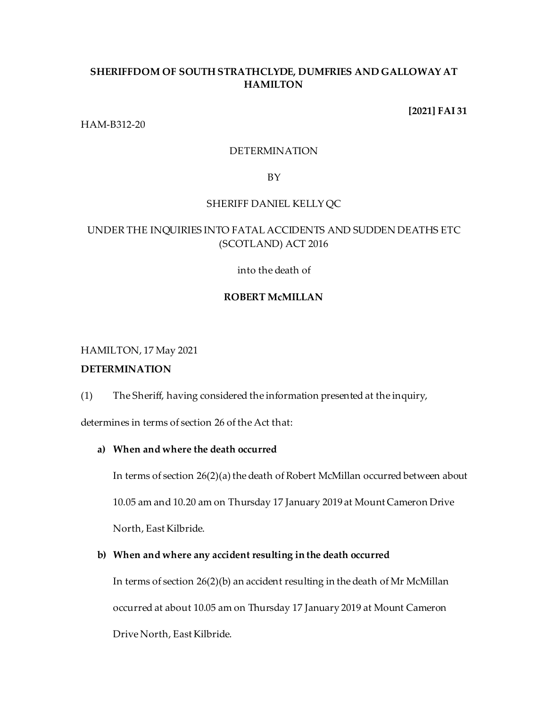# **SHERIFFDOM OF SOUTH STRATHCLYDE, DUMFRIES AND GALLOWAY AT HAMILTON**

## **[2021] FAI 31**

HAM-B312-20

### DETERMINATION

### BY

# SHERIFF DANIEL KELLY QC

# UNDER THE INQUIRIES INTO FATAL ACCIDENTS AND SUDDEN DEATHS ETC (SCOTLAND) ACT 2016

into the death of

# **ROBERT McMILLAN**

# HAMILTON, 17 May 2021

# **DETERMINATION**

(1) The Sheriff, having considered the information presented at the inquiry,

determines in terms of section 26 of the Act that:

# **a) When and where the death occurred**

In terms of section 26(2)(a) the death of Robert McMillan occurred between about

10.05 am and 10.20 am on Thursday 17 January 2019 at Mount Cameron Drive

North, East Kilbride.

# **b) When and where any accident resulting in the death occurred**

In terms of section 26(2)(b) an accident resulting in the death of Mr McMillan occurred at about 10.05 am on Thursday 17 January 2019 at Mount Cameron Drive North, East Kilbride.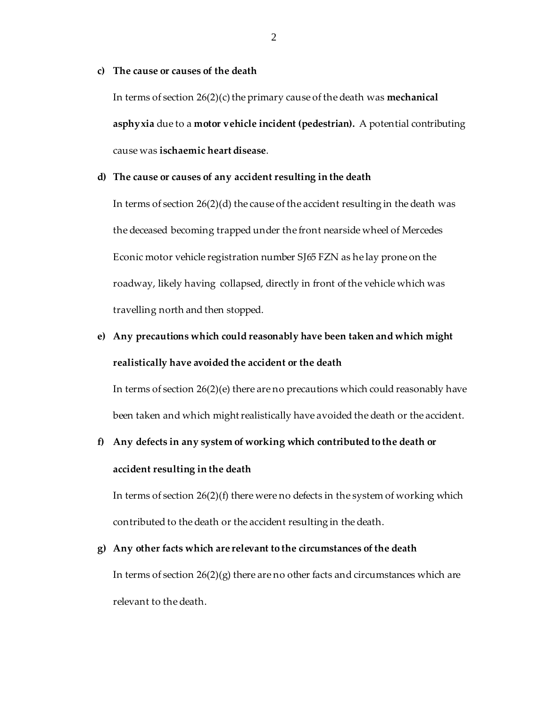# **c) The cause or causes of the death**

In terms of section 26(2)(c) the primary cause of the death was **mechanical asphyxia** due to a **motor vehicle incident (pedestrian).** A potential contributing cause was **ischaemic heart disease**.

# **d) The cause or causes of any accident resulting in the death**

In terms of section 26(2)(d) the cause of the accident resulting in the death was the deceased becoming trapped under the front nearside wheel of Mercedes Econic motor vehicle registration number SJ65 FZN as he lay prone on the roadway, likely having collapsed, directly in front of the vehicle which was travelling north and then stopped.

# **e) Any precautions which could reasonably have been taken and which might realistically have avoided the accident or the death**

In terms of section  $26(2)(e)$  there are no precautions which could reasonably have been taken and which might realistically have avoided the death or the accident.

# **f) Any defects in any system of working which contributed to the death or accident resulting in the death**

In terms of section 26(2)(f) there were no defects in the system of working which contributed to the death or the accident resulting in the death.

# **g) Any other facts which are relevant to the circumstances of the death**

In terms of section  $26(2)(g)$  there are no other facts and circumstances which are relevant to the death.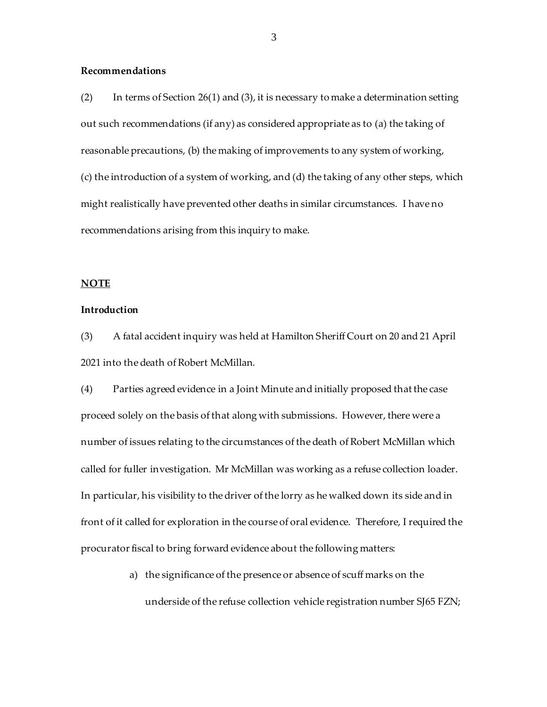# **Recommendations**

(2) In terms of Section 26(1) and (3), it is necessary to make a determination setting out such recommendations (if any) as considered appropriate as to (a) the taking of reasonable precautions, (b) the making of improvements to any system of working, (c) the introduction of a system of working, and (d) the taking of any other steps, which might realistically have prevented other deaths in similar circumstances. I have no recommendations arising from this inquiry to make.

#### **NOTE**

### **Introduction**

(3) A fatal accident inquiry was held at Hamilton Sheriff Court on 20 and 21 April 2021 into the death of Robert McMillan.

(4) Parties agreed evidence in a Joint Minute and initially proposed that the case proceed solely on the basis of that along with submissions. However, there were a number of issues relating to the circumstances of the death of Robert McMillan which called for fuller investigation. Mr McMillan was working as a refuse collection loader. In particular, his visibility to the driver of the lorry as he walked down its side and in front of it called for exploration in the course of oral evidence. Therefore, I required the procurator fiscal to bring forward evidence about the following matters:

> a) the significance of the presence or absence of scuff marks on the underside of the refuse collection vehicle registration number SJ65 FZN;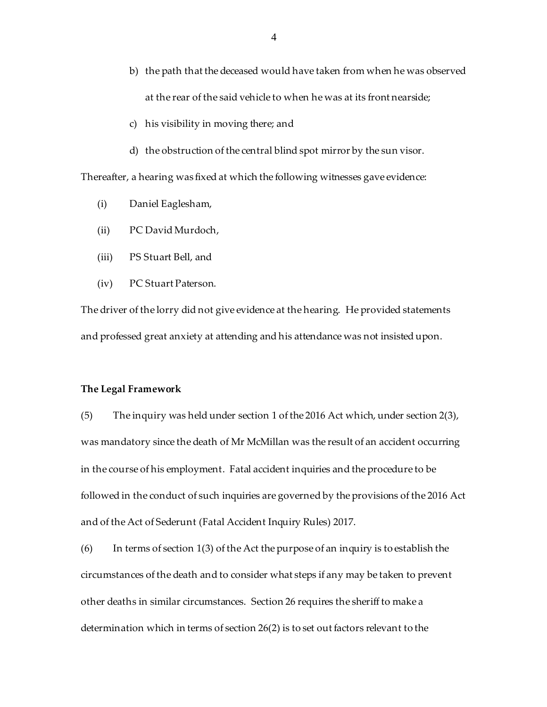- b) the path that the deceased would have taken from when he was observed at the rear of the said vehicle to when he was at its front nearside;
- c) his visibility in moving there; and
- d) the obstruction of the central blind spot mirror by the sun visor.

Thereafter, a hearing was fixed at which the following witnesses gave evidence:

- (i) Daniel Eaglesham,
- (ii) PC David Murdoch,
- (iii) PS Stuart Bell, and
- (iv) PC Stuart Paterson.

The driver of the lorry did not give evidence at the hearing. He provided statements and professed great anxiety at attending and his attendance was not insisted upon.

#### **The Legal Framework**

(5) The inquiry was held under section 1 of the 2016 Act which, under section 2(3), was mandatory since the death of Mr McMillan was the result of an accident occurring in the course of his employment. Fatal accident inquiries and the procedure to be followed in the conduct of such inquiries are governed by the provisions of the 2016 Act and of the Act of Sederunt (Fatal Accident Inquiry Rules) 2017.

(6) In terms of section 1(3) of the Act the purpose of an inquiry is to establish the circumstances of the death and to consider what steps if any may be taken to prevent other deaths in similar circumstances. Section 26 requires the sheriff to make a determination which in terms of section 26(2) is to set out factors relevant to the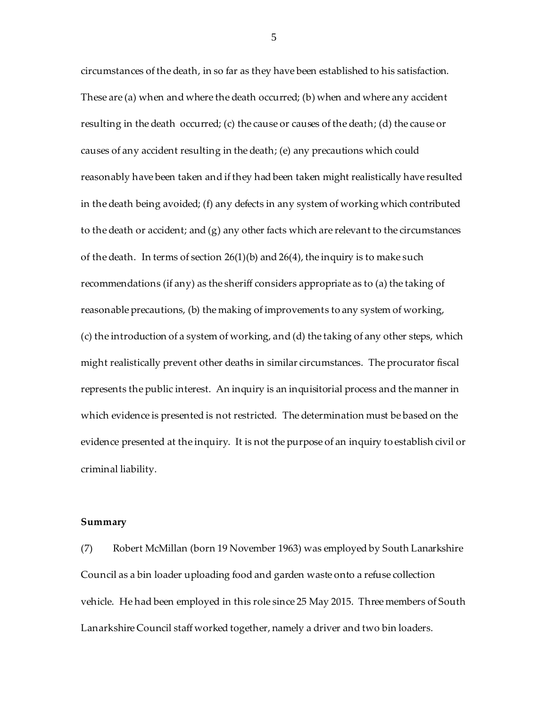circumstances of the death, in so far as they have been established to his satisfaction. These are (a) when and where the death occurred; (b) when and where any accident resulting in the death occurred; (c) the cause or causes of the death; (d) the cause or causes of any accident resulting in the death; (e) any precautions which could reasonably have been taken and if they had been taken might realistically have resulted in the death being avoided; (f) any defects in any system of working which contributed to the death or accident; and (g) any other facts which are relevant to the circumstances of the death. In terms of section 26(1)(b) and 26(4), the inquiry is to make such recommendations (if any) as the sheriff considers appropriate as to (a) the taking of reasonable precautions, (b) the making of improvements to any system of working, (c) the introduction of a system of working, and (d) the taking of any other steps, which might realistically prevent other deaths in similar circumstances. The procurator fiscal represents the public interest. An inquiry is an inquisitorial process and the manner in which evidence is presented is not restricted. The determination must be based on the evidence presented at the inquiry. It is not the purpose of an inquiry to establish civil or criminal liability.

#### **Summary**

(7) Robert McMillan (born 19 November 1963) was employed by South Lanarkshire Council as a bin loader uploading food and garden waste onto a refuse collection vehicle. He had been employed in this role since 25 May 2015. Three members of South Lanarkshire Council staff worked together, namely a driver and two bin loaders.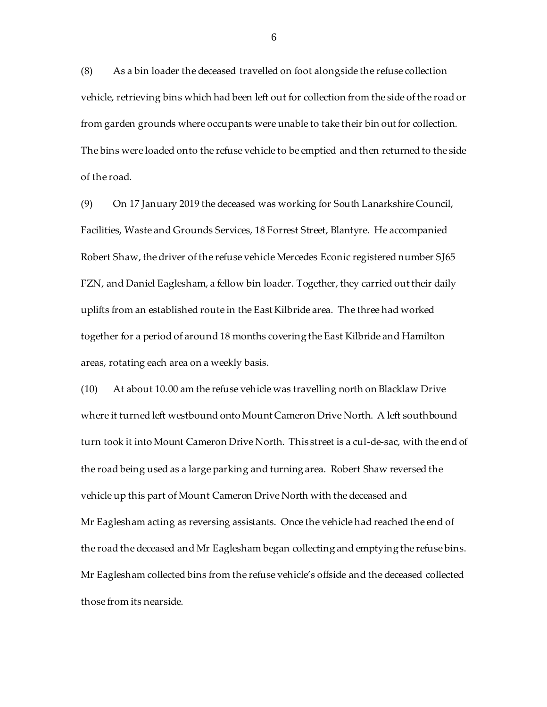(8) As a bin loader the deceased travelled on foot alongside the refuse collection vehicle, retrieving bins which had been left out for collection from the side of the road or from garden grounds where occupants were unable to take their bin out for collection. The bins were loaded onto the refuse vehicle to be emptied and then returned to the side of the road.

(9) On 17 January 2019 the deceased was working for South Lanarkshire Council, Facilities, Waste and Grounds Services, 18 Forrest Street, Blantyre. He accompanied Robert Shaw, the driver of the refuse vehicle Mercedes Econic registered number SJ65 FZN, and Daniel Eaglesham, a fellow bin loader. Together, they carried out their daily uplifts from an established route in the East Kilbride area. The three had worked together for a period of around 18 months covering the East Kilbride and Hamilton areas, rotating each area on a weekly basis.

(10) At about 10.00 am the refuse vehicle was travelling north on Blacklaw Drive where it turned left westbound onto Mount Cameron Drive North. A left southbound turn took it into Mount Cameron Drive North. This street is a cul-de-sac, with the end of the road being used as a large parking and turning area. Robert Shaw reversed the vehicle up this part of Mount Cameron Drive North with the deceased and Mr Eaglesham acting as reversing assistants. Once the vehicle had reached the end of the road the deceased and Mr Eaglesham began collecting and emptying the refuse bins. Mr Eaglesham collected bins from the refuse vehicle's offside and the deceased collected those from its nearside.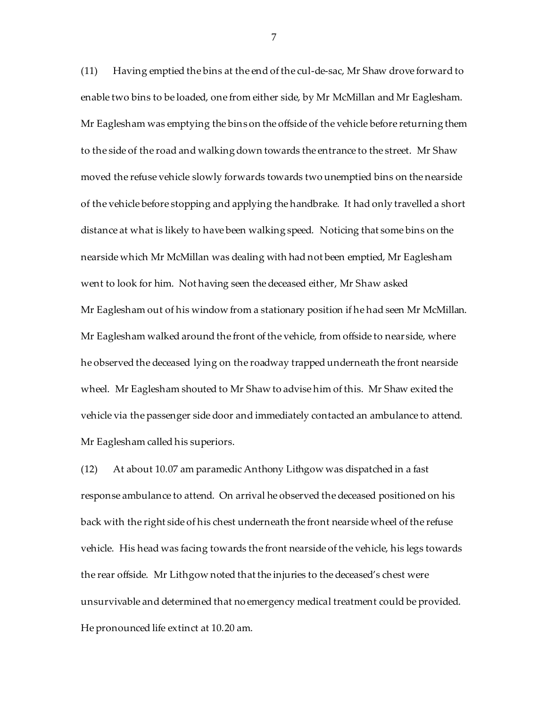(11) Having emptied the bins at the end of the cul-de-sac, Mr Shaw drove forward to enable two bins to be loaded, one from either side, by Mr McMillan and Mr Eaglesham. Mr Eaglesham was emptying the bins on the offside of the vehicle before returning them to the side of the road and walking down towards the entrance to the street. Mr Shaw moved the refuse vehicle slowly forwards towards two unemptied bins on the nearside of the vehicle before stopping and applying the handbrake. It had only travelled a short distance at what is likely to have been walking speed. Noticing that some bins on the nearside which Mr McMillan was dealing with had not been emptied, Mr Eaglesham went to look for him. Not having seen the deceased either, Mr Shaw asked Mr Eaglesham out of his window from a stationary position if he had seen Mr McMillan. Mr Eaglesham walked around the front of the vehicle, from offside to nearside, where he observed the deceased lying on the roadway trapped underneath the front nearside wheel. Mr Eaglesham shouted to Mr Shaw to advise him of this. Mr Shaw exited the vehicle via the passenger side door and immediately contacted an ambulance to attend. Mr Eaglesham called his superiors.

(12) At about 10.07 am paramedic Anthony Lithgow was dispatched in a fast response ambulance to attend. On arrival he observed the deceased positioned on his back with the right side of his chest underneath the front nearside wheel of the refuse vehicle. His head was facing towards the front nearside of the vehicle, his legs towards the rear offside. Mr Lithgow noted that the injuries to the deceased's chest were unsurvivable and determined that no emergency medical treatment could be provided. He pronounced life extinct at 10.20 am.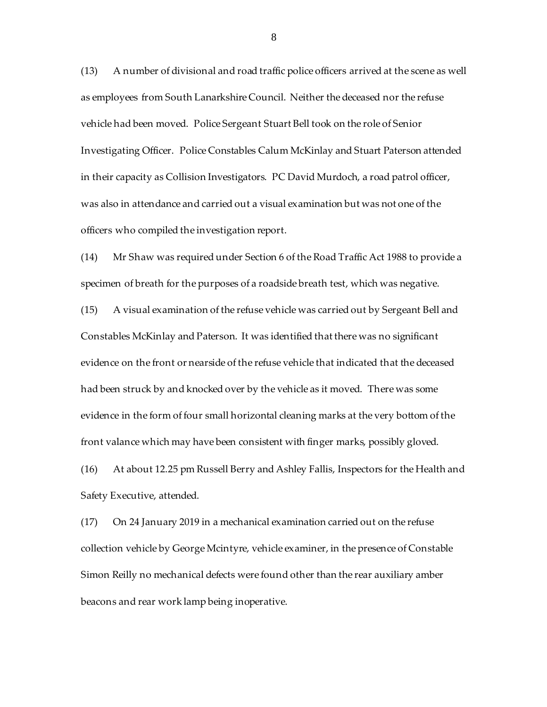(13) A number of divisional and road traffic police officers arrived at the scene as well as employees from South Lanarkshire Council. Neither the deceased nor the refuse vehicle had been moved. Police Sergeant Stuart Bell took on the role of Senior Investigating Officer. Police Constables Calum McKinlay and Stuart Paterson attended in their capacity as Collision Investigators. PC David Murdoch, a road patrol officer, was also in attendance and carried out a visual examination but was not one of the officers who compiled the investigation report.

(14) Mr Shaw was required under Section 6 of the Road Traffic Act 1988 to provide a specimen of breath for the purposes of a roadside breath test, which was negative.

(15) A visual examination of the refuse vehicle was carried out by Sergeant Bell and Constables McKinlay and Paterson. It was identified that there was no significant evidence on the front or nearside of the refuse vehicle that indicated that the deceased had been struck by and knocked over by the vehicle as it moved. There was some evidence in the form of four small horizontal cleaning marks at the very bottom of the front valance which may have been consistent with finger marks, possibly gloved.

(16) At about 12.25 pm Russell Berry and Ashley Fallis, Inspectors for the Health and Safety Executive, attended.

(17) On 24 January 2019 in a mechanical examination carried out on the refuse collection vehicle by George Mcintyre, vehicle examiner, in the presence of Constable Simon Reilly no mechanical defects were found other than the rear auxiliary amber beacons and rear work lamp being inoperative.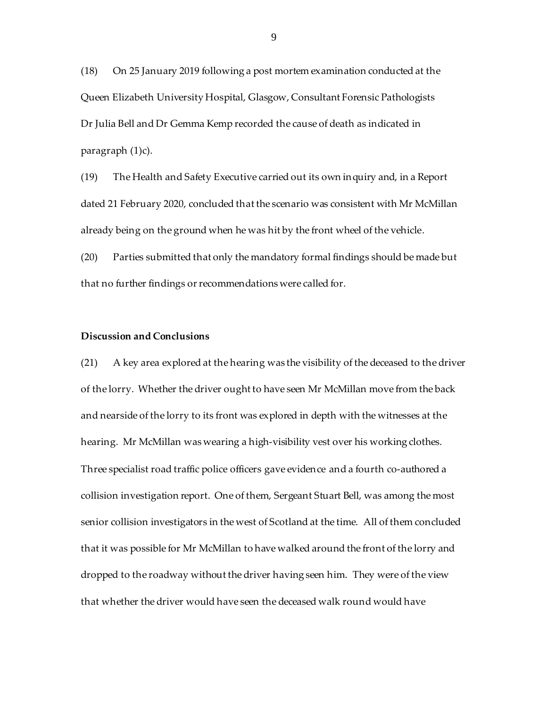(18) On 25 January 2019 following a post mortem examination conducted at the Queen Elizabeth University Hospital, Glasgow, Consultant Forensic Pathologists Dr Julia Bell and Dr Gemma Kemp recorded the cause of death as indicated in paragraph (1)c).

(19) The Health and Safety Executive carried out its own inquiry and, in a Report dated 21 February 2020, concluded that the scenario was consistent with Mr McMillan already being on the ground when he was hit by the front wheel of the vehicle.

(20) Parties submitted that only the mandatory formal findings should be made but that no further findings or recommendations were called for.

# **Discussion and Conclusions**

(21) A key area explored at the hearing was the visibility of the deceased to the driver of the lorry. Whether the driver ought to have seen Mr McMillan move from the back and nearside of the lorry to its front was explored in depth with the witnesses at the hearing. Mr McMillan was wearing a high-visibility vest over his working clothes. Three specialist road traffic police officers gave evidence and a fourth co-authored a collision investigation report. One of them, Sergeant Stuart Bell, was among the most senior collision investigators in the west of Scotland at the time. All of them concluded that it was possible for Mr McMillan to have walked around the front of the lorry and dropped to the roadway without the driver having seen him. They were of the view that whether the driver would have seen the deceased walk round would have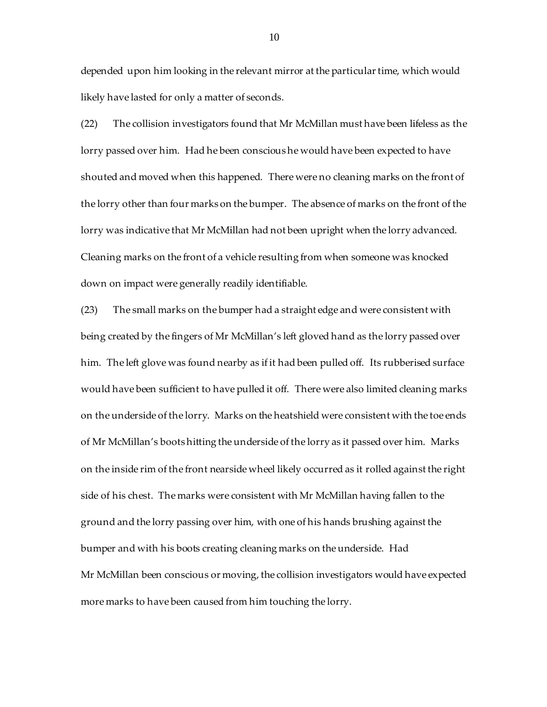depended upon him looking in the relevant mirror at the particular time, which would likely have lasted for only a matter of seconds.

(22) The collision investigators found that Mr McMillan must have been lifeless as the lorry passed over him. Had he been conscious he would have been expected to have shouted and moved when this happened. There were no cleaning marks on the front of the lorry other than four marks on the bumper. The absence of marks on the front of the lorry was indicative that Mr McMillan had not been upright when the lorry advanced. Cleaning marks on the front of a vehicle resulting from when someone was knocked down on impact were generally readily identifiable.

(23) The small marks on the bumper had a straight edge and were consistent with being created by the fingers of Mr McMillan's left gloved hand as the lorry passed over him. The left glove was found nearby as if it had been pulled off. Its rubberised surface would have been sufficient to have pulled it off. There were also limited cleaning marks on the underside of the lorry. Marks on the heatshield were consistent with the toe ends of Mr McMillan's boots hitting the underside of the lorry as it passed over him. Marks on the inside rim of the front nearside wheel likely occurred as it rolled against the right side of his chest. The marks were consistent with Mr McMillan having fallen to the ground and the lorry passing over him, with one of his hands brushing against the bumper and with his boots creating cleaning marks on the underside. Had Mr McMillan been conscious or moving, the collision investigators would have expected more marks to have been caused from him touching the lorry.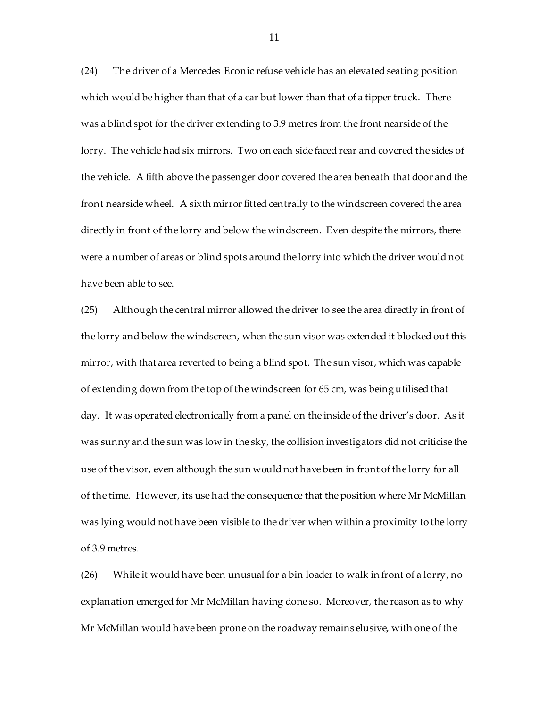(24) The driver of a Mercedes Econic refuse vehicle has an elevated seating position which would be higher than that of a car but lower than that of a tipper truck. There was a blind spot for the driver extending to 3.9 metres from the front nearside of the lorry. The vehicle had six mirrors. Two on each side faced rear and covered the sides of the vehicle. A fifth above the passenger door covered the area beneath that door and the front nearside wheel. A sixth mirror fitted centrally to the windscreen covered the area directly in front of the lorry and below the windscreen. Even despite the mirrors, there were a number of areas or blind spots around the lorry into which the driver would not have been able to see.

(25) Although the central mirror allowed the driver to see the area directly in front of the lorry and below the windscreen, when the sun visor was extended it blocked out this mirror, with that area reverted to being a blind spot. The sun visor, which was capable of extending down from the top of the windscreen for 65 cm, was being utilised that day. It was operated electronically from a panel on the inside of the driver's door. As it was sunny and the sun was low in the sky, the collision investigators did not criticise the use of the visor, even although the sun would not have been in front of the lorry for all of the time. However, its use had the consequence that the position where Mr McMillan was lying would not have been visible to the driver when within a proximity to the lorry of 3.9 metres.

(26) While it would have been unusual for a bin loader to walk in front of a lorry, no explanation emerged for Mr McMillan having done so. Moreover, the reason as to why Mr McMillan would have been prone on the roadway remains elusive, with one of the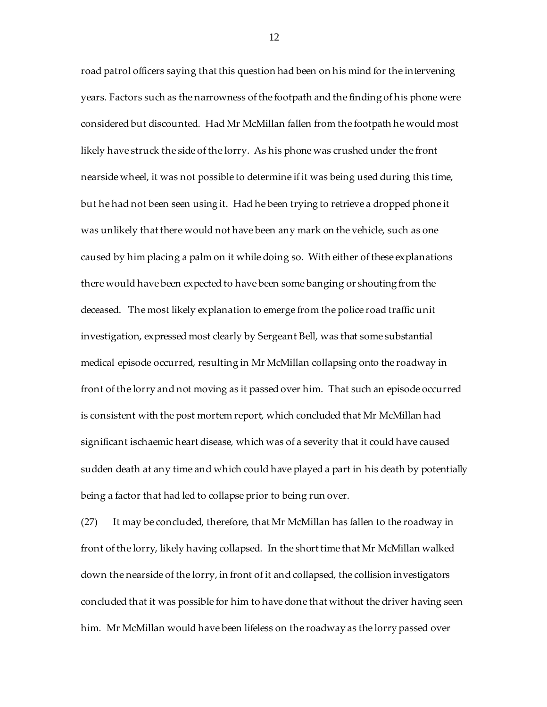road patrol officers saying that this question had been on his mind for the intervening years. Factors such as the narrowness of the footpath and the finding of his phone were considered but discounted. Had Mr McMillan fallen from the footpath he would most likely have struck the side of the lorry. As his phone was crushed under the front nearside wheel, it was not possible to determine if it was being used during this time, but he had not been seen using it. Had he been trying to retrieve a dropped phone it was unlikely that there would not have been any mark on the vehicle, such as one caused by him placing a palm on it while doing so. With either of these explanations there would have been expected to have been some banging or shouting from the deceased. The most likely explanation to emerge from the police road traffic unit investigation, expressed most clearly by Sergeant Bell, was that some substantial medical episode occurred, resulting in Mr McMillan collapsing onto the roadway in front of the lorry and not moving as it passed over him. That such an episode occurred is consistent with the post mortem report, which concluded that Mr McMillan had significant ischaemic heart disease, which was of a severity that it could have caused sudden death at any time and which could have played a part in his death by potentially being a factor that had led to collapse prior to being run over.

(27) It may be concluded, therefore, that Mr McMillan has fallen to the roadway in front of the lorry, likely having collapsed. In the short time that Mr McMillan walked down the nearside of the lorry, in front of it and collapsed, the collision investigators concluded that it was possible for him to have done that without the driver having seen him. Mr McMillan would have been lifeless on the roadway as the lorry passed over